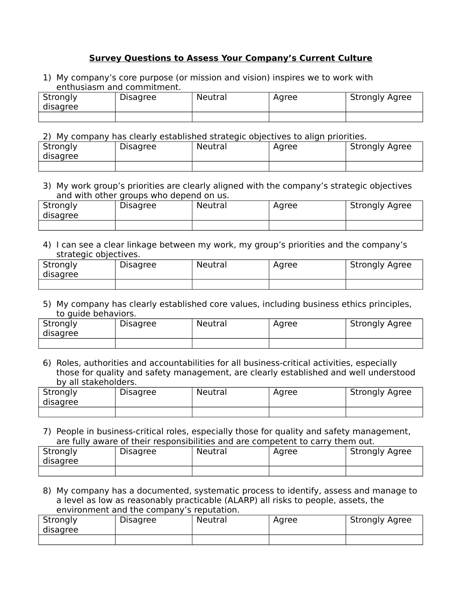# **Survey Questions to Assess Your Company's Current Culture**

1) My company's core purpose (or mission and vision) inspires we to work with enthusiasm and commitment.

| Strongly<br>disagree | Disagree | Neutral | Agree | <b>Strongly Agree</b> |
|----------------------|----------|---------|-------|-----------------------|
|                      |          |         |       |                       |

2) My company has clearly established strategic objectives to align priorities.

| Strongly<br>disagree | <b>Disagree</b> | Neutral | Agree | <b>Strongly Agree</b> |
|----------------------|-----------------|---------|-------|-----------------------|
|                      |                 |         |       |                       |

3) My work group's priorities are clearly aligned with the company's strategic objectives and with other groups who depend on us.

| Strongly<br>disagree | <b>Disagree</b> | <b>Neutral</b> | Agree | <b>Strongly Agree</b> |  |  |
|----------------------|-----------------|----------------|-------|-----------------------|--|--|
|                      |                 |                |       |                       |  |  |

4) I can see a clear linkage between my work, my group's priorities and the company's strategic objectives.

| Strongly<br>disagree | <b>Disagree</b> | <b>Neutral</b> | Agree | <b>Strongly Agree</b> |
|----------------------|-----------------|----------------|-------|-----------------------|
|                      |                 |                |       |                       |

5) My company has clearly established core values, including business ethics principles, to quide behaviors.

| Strongly<br>disagree | <b>Disagree</b> | Neutral | Agree | <b>Strongly Agree</b> |
|----------------------|-----------------|---------|-------|-----------------------|
|                      |                 |         |       |                       |

6) Roles, authorities and accountabilities for all business-critical activities, especially those for quality and safety management, are clearly established and well understood by all stakeholders.

| Strongly<br>disagree | Disagree | Neutral | Agree | <b>Strongly Agree</b> |
|----------------------|----------|---------|-------|-----------------------|
|                      |          |         |       |                       |

7) People in business-critical roles, especially those for quality and safety management, are fully aware of their responsibilities and are competent to carry them out.

| Strongly<br>disagree | <b>Disagree</b> | Neutral | Agree | <b>Strongly Agree</b> |
|----------------------|-----------------|---------|-------|-----------------------|
|                      |                 |         |       |                       |

8) My company has a documented, systematic process to identify, assess and manage to a level as low as reasonably practicable (ALARP) all risks to people, assets, the environment and the company's reputation.

| Strongly<br>disagree | <b>Disagree</b> | Neutral | Agree | <b>Strongly Agree</b> |
|----------------------|-----------------|---------|-------|-----------------------|
|                      |                 |         |       |                       |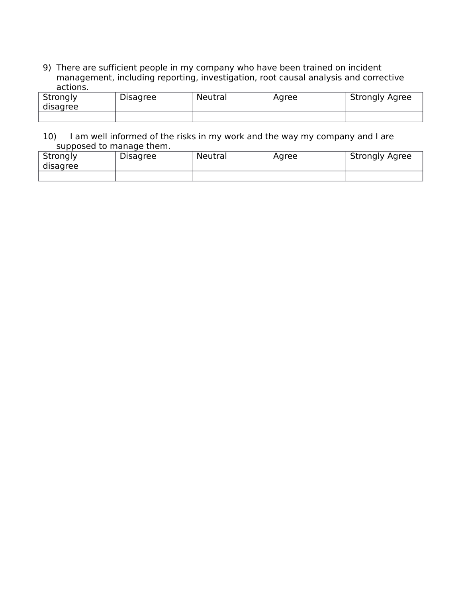9) There are sufficient people in my company who have been trained on incident management, including reporting, investigation, root causal analysis and corrective actions.

| Strongly<br>disagree | <b>Disagree</b> | Neutral | Agree | <b>Strongly Agree</b> |
|----------------------|-----------------|---------|-------|-----------------------|
|                      |                 |         |       |                       |

## 10) I am well informed of the risks in my work and the way my company and I are supposed to manage them.

| Strongly<br>disagree | <b>Disagree</b> | Neutral | Agree | <b>Strongly Agree</b> |
|----------------------|-----------------|---------|-------|-----------------------|
|                      |                 |         |       |                       |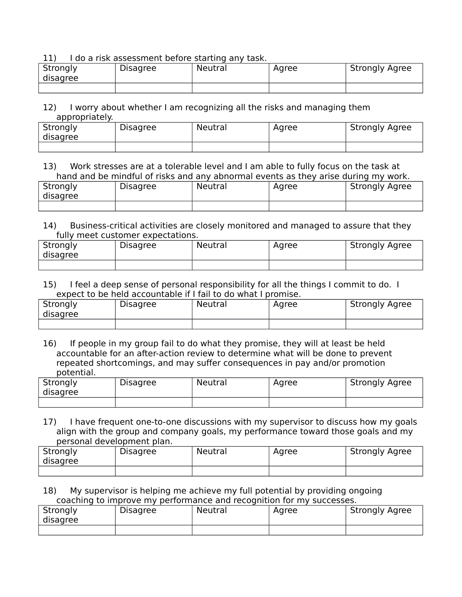#### 11) I do a risk assessment before starting any task.

| Strongly<br>disagree | Disagree | Neutral | Agree | <b>Strongly Agree</b> |
|----------------------|----------|---------|-------|-----------------------|
|                      |          |         |       |                       |

## 12) I worry about whether I am recognizing all the risks and managing them appropriately.

| Strongly<br>disagree | <b>Disagree</b> | Neutral | Agree | <b>Strongly Agree</b> |
|----------------------|-----------------|---------|-------|-----------------------|
|                      |                 |         |       |                       |

# 13) Work stresses are at a tolerable level and I am able to fully focus on the task at hand and be mindful of risks and any abnormal events as they arise during my work.

| Strongly<br>disagree | <b>Disagree</b> | Neutral | Agree | <b>Strongly Agree</b> |
|----------------------|-----------------|---------|-------|-----------------------|
|                      |                 |         |       |                       |

## 14) Business-critical activities are closely monitored and managed to assure that they fully meet customer expectations.

| Strongly<br>disagree | <b>Disagree</b> | <b>Neutral</b> | Agree | <b>Strongly Agree</b> |  |  |
|----------------------|-----------------|----------------|-------|-----------------------|--|--|
|                      |                 |                |       |                       |  |  |

#### 15) I feel a deep sense of personal responsibility for all the things I commit to do. I expect to be held accountable if I fail to do what I promise.

| Strongly<br>disagree | <b>Disagree</b> | Neutral | Agree | <b>Strongly Agree</b> |
|----------------------|-----------------|---------|-------|-----------------------|
|                      |                 |         |       |                       |

16) If people in my group fail to do what they promise, they will at least be held accountable for an after-action review to determine what will be done to prevent repeated shortcomings, and may suffer consequences in pay and/or promotion potential.

| Strongly<br>disagree | <b>Disagree</b> | Neutral | Agree | <b>Strongly Agree</b> |
|----------------------|-----------------|---------|-------|-----------------------|
|                      |                 |         |       |                       |

17) I have frequent one-to-one discussions with my supervisor to discuss how my goals align with the group and company goals, my performance toward those goals and my personal development plan.

| Strongly<br>disagree | Disagree | Neutral | Aaree | <b>Strongly Agree</b> |
|----------------------|----------|---------|-------|-----------------------|
|                      |          |         |       |                       |

## 18) My supervisor is helping me achieve my full potential by providing ongoing coaching to improve my performance and recognition for my successes.

| Strongly<br>disagree | <b>Disagree</b> | <b>Neutral</b> | Agree | <b>Strongly Agree</b> |
|----------------------|-----------------|----------------|-------|-----------------------|
|                      |                 |                |       |                       |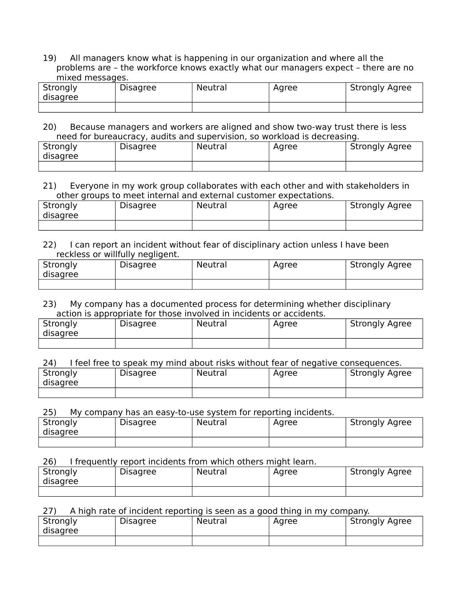19) All managers know what is happening in our organization and where all the problems are – the workforce knows exactly what our managers expect – there are no mixed messages.

| Strongly<br>disagree | <b>Disagree</b> | <b>Neutral</b> | Agree | <b>Strongly Agree</b> |
|----------------------|-----------------|----------------|-------|-----------------------|
|                      |                 |                |       |                       |

20) Because managers and workers are aligned and show two-way trust there is less need for bureaucracy, audits and supervision, so workload is decreasing.

| Strongly<br>disagree | <b>Disagree</b> | Neutral | Agree | <b>Strongly Agree</b> |
|----------------------|-----------------|---------|-------|-----------------------|
|                      |                 |         |       |                       |

#### 21) Everyone in my work group collaborates with each other and with stakeholders in other groups to meet internal and external customer expectations.

| Strongly<br>disagree | <b>Disagree</b> | <b>Neutral</b> | Agree | <b>Strongly Agree</b> |
|----------------------|-----------------|----------------|-------|-----------------------|
|                      |                 |                |       |                       |

## 22) I can report an incident without fear of disciplinary action unless I have been reckless or willfully negligent.

| Strongly<br>disagree | <b>Disagree</b> | Neutral | Agree | <b>Strongly Agree</b> |
|----------------------|-----------------|---------|-------|-----------------------|
|                      |                 |         |       |                       |

## 23) My company has a documented process for determining whether disciplinary action is appropriate for those involved in incidents or accidents.

| Strongly<br>disagree | <b>Disagree</b> | <b>Neutral</b> | Agree | <b>Strongly Agree</b> |
|----------------------|-----------------|----------------|-------|-----------------------|
|                      |                 |                |       |                       |

## 24) I feel free to speak my mind about risks without fear of negative consequences.

| Strongly<br>disagree | <b>Disagree</b> | Neutral | Agree | <b>Strongly Agree</b> |
|----------------------|-----------------|---------|-------|-----------------------|
|                      |                 |         |       |                       |

## 25) My company has an easy-to-use system for reporting incidents.

| Strongly<br>disagree | <b>Disagree</b> | Neutral | Agree | <b>Strongly Agree</b> |
|----------------------|-----------------|---------|-------|-----------------------|
|                      |                 |         |       |                       |

# 26) I frequently report incidents from which others might learn.

| Strongly<br>disagree | <b>Disagree</b> | Neutral | Agree | <b>Strongly Agree</b> |
|----------------------|-----------------|---------|-------|-----------------------|
|                      |                 |         |       |                       |

## 27) A high rate of incident reporting is seen as a good thing in my company.

| Strongly<br>disagree | <b>Disagree</b> | Neutral | Aaree | <b>Strongly Agree</b> |
|----------------------|-----------------|---------|-------|-----------------------|
|                      |                 |         |       |                       |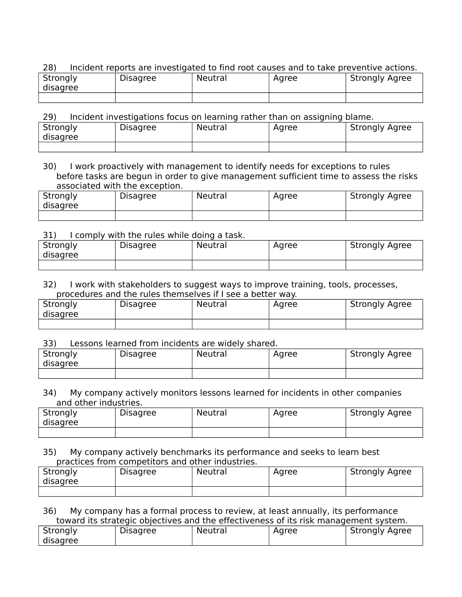# 28) Incident reports are investigated to find root causes and to take preventive actions.

| Strongly<br>disagree | <b>Disagree</b> | Neutral | Agree | <b>Strongly Agree</b> |
|----------------------|-----------------|---------|-------|-----------------------|
|                      |                 |         |       |                       |

29) Incident investigations focus on learning rather than on assigning blame.

| Strongly<br>disagree | <b>Disagree</b> | Neutral | Agree | <b>Strongly Agree</b> |
|----------------------|-----------------|---------|-------|-----------------------|
|                      |                 |         |       |                       |

30) I work proactively with management to identify needs for exceptions to rules before tasks are begun in order to give management sufficient time to assess the risks associated with the exception.

| Strongly<br>disagree | <b>Disagree</b> | Neutral | Agree | <b>Strongly Agree</b> |
|----------------------|-----------------|---------|-------|-----------------------|
|                      |                 |         |       |                       |

#### 31) I comply with the rules while doing a task.

| Strongly<br>disagree | <b>Disagree</b> | Neutral | Agree | <b>Strongly Agree</b> |
|----------------------|-----------------|---------|-------|-----------------------|
|                      |                 |         |       |                       |

#### 32) I work with stakeholders to suggest ways to improve training, tools, processes, procedures and the rules themselves if I see a better way.

| Strongly<br>disagree | <b>Disagree</b> | Neutral | Agree | <b>Strongly Agree</b> |
|----------------------|-----------------|---------|-------|-----------------------|
|                      |                 |         |       |                       |

33) Lessons learned from incidents are widely shared.

| Strongly<br>disagree | Disagree | Neutral | Agree | <b>Strongly Agree</b> |
|----------------------|----------|---------|-------|-----------------------|
|                      |          |         |       |                       |

#### 34) My company actively monitors lessons learned for incidents in other companies and other industries.

| Strongly<br>disagree | <b>Disagree</b> | Neutral | Agree | <b>Strongly Agree</b> |
|----------------------|-----------------|---------|-------|-----------------------|
|                      |                 |         |       |                       |

35) My company actively benchmarks its performance and seeks to learn best practices from competitors and other industries.

| Strongly<br>disagree | <b>Disagree</b> | Neutral | Agree | <b>Strongly Agree</b> |
|----------------------|-----------------|---------|-------|-----------------------|
|                      |                 |         |       |                       |

36) My company has a formal process to review, at least annually, its performance toward its strategic objectives and the effectiveness of its risk management system.

| Strongly | <b>Disagree</b> | <b>Neutral</b> | Aaree | <b>Strongly Agree</b> |
|----------|-----------------|----------------|-------|-----------------------|
| disagree |                 |                |       |                       |